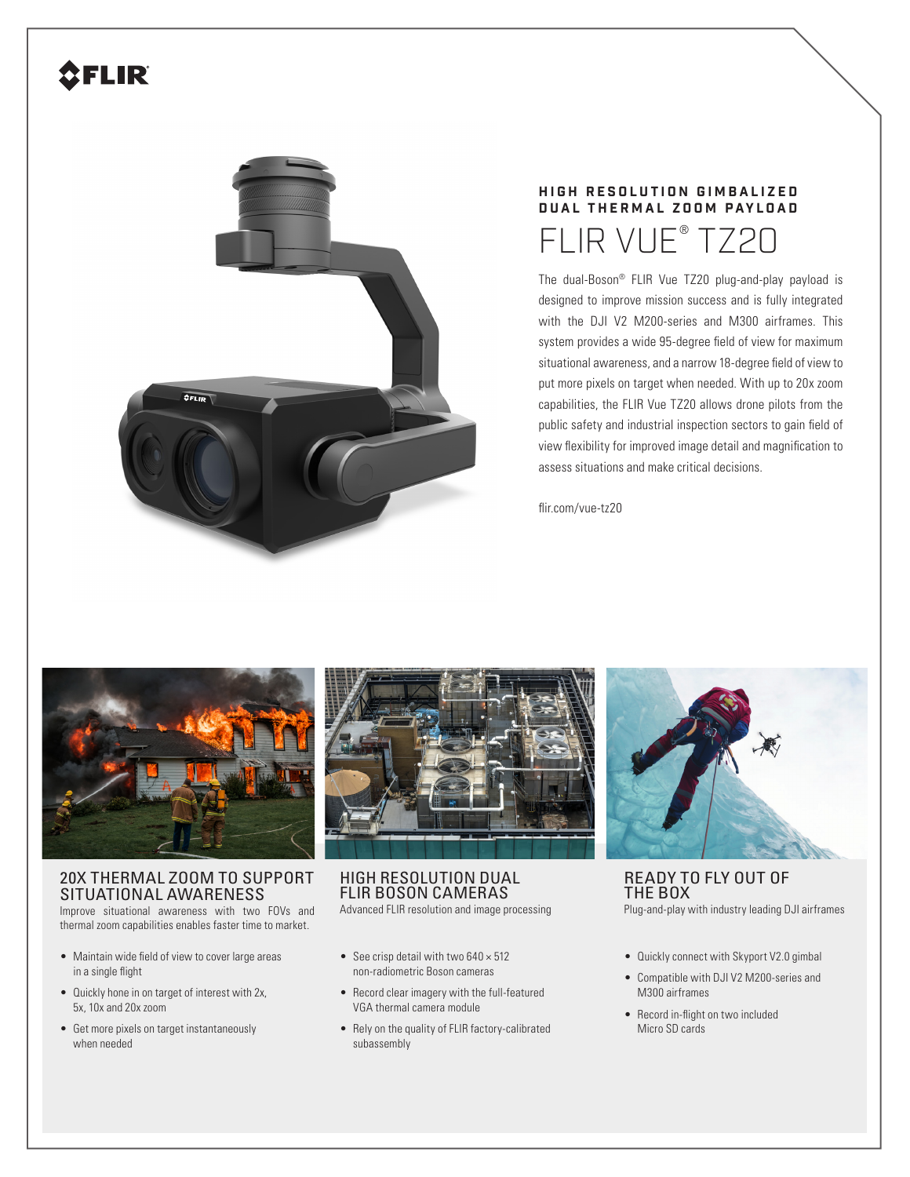# **SFLIR**



## **HIGH RESOLUTION GIMBALIZED DUAL THERMAL ZOOM PAYLOAD** FLIR VUE® TZ20

The dual-Boson® FLIR Vue TZ20 plug-and-play payload is designed to improve mission success and is fully integrated with the DJI V2 M200-series and M300 airframes. This system provides a wide 95-degree field of view for maximum situational awareness, and a narrow 18-degree field of view to put more pixels on target when needed. With up to 20x zoom capabilities, the FLIR Vue TZ20 allows drone pilots from the public safety and industrial inspection sectors to gain field of view flexibility for improved image detail and magnification to assess situations and make critical decisions.

flir.com/vue-tz20



### 20X THERMAL ZOOM TO SUPPORT SITUATIONAL AWARENESS

Improve situational awareness with two FOVs and thermal zoom capabilities enables faster time to market.

- Maintain wide field of view to cover large areas in a single flight
- Quickly hone in on target of interest with 2x, 5x, 10x and 20x zoom
- Get more pixels on target instantaneously when needed



HIGH RESOLUTION DUAL FLIR BOSON CAMERAS Advanced FLIR resolution and image processing

- 
- See crisp detail with two  $640 \times 512$ non-radiometric Boson cameras
- Record clear imagery with the full-featured VGA thermal camera module
- Rely on the quality of FLIR factory-calibrated subassembly



READY TO FLY OUT OF THE BOX Plug-and-play with industry leading DJI airframes

- Quickly connect with Skyport V2.0 gimbal
- Compatible with DJI V2 M200-series and M300 airframes
- Record in-flight on two included Micro SD cards